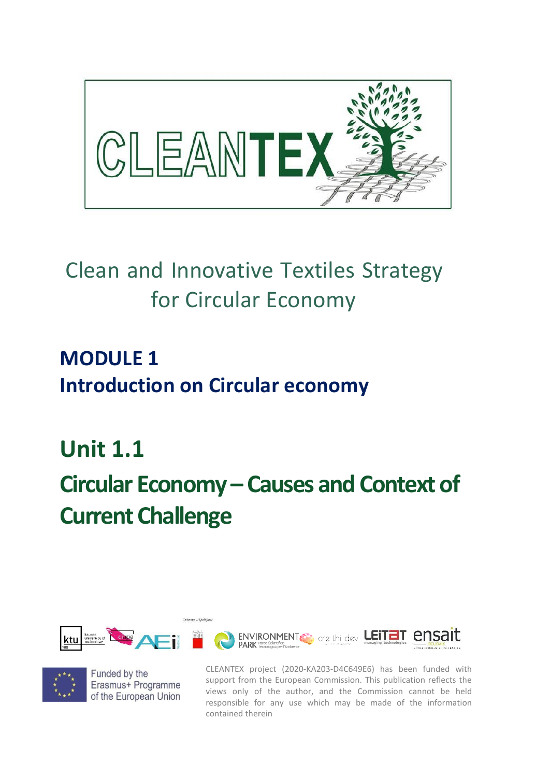

# Clean and Innovative Textiles Strategy for Circular Economy

**MODULE 1 Introduction on Circular economy**

**Unit 1.1 Circular Economy – Causes and Context of Current Challenge** 





Funded by the Erasmus+ Programme of the European Union CLEANTEX project (2020-KA203-D4C649E6) has been funded with support from the European Commission. This publication reflects the views only of the author, and the Commission cannot be held responsible for any use which may be made of the information contained therein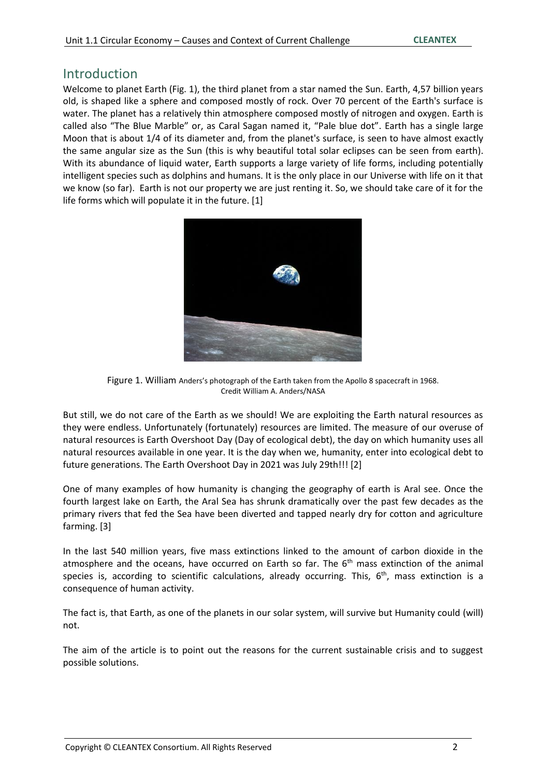#### Introduction

Welcome to planet Earth (Fig. 1), the third planet from a star named the Sun. Earth, 4,57 billion years old, is shaped like a sphere and composed mostly of rock. Over 70 percent of the Earth's surface is water. The planet has a relatively thin atmosphere composed mostly of nitrogen and oxygen. Earth is called also "The Blue Marble" or, as Caral Sagan named it, "Pale blue dot". Earth has a single large Moon that is about 1/4 of its diameter and, from the planet's surface, is seen to have almost exactly the same angular size as the Sun (this is why beautiful total solar eclipses can be seen from earth). With its abundance of liquid water, Earth supports a large variety of life forms, including potentially intelligent species such as dolphins and humans. It is the only place in our Universe with life on it that we know (so far). Earth is not our property we are just renting it. So, we should take care of it for the life forms which will populate it in the future. [1]



Figure 1. William Anders's photograph of the Earth taken from the Apollo 8 spacecraft in 1968. Credit William A. Anders/NASA

But still, we do not care of the Earth as we should! We are exploiting the Earth natural resources as they were endless. Unfortunately (fortunately) resources are limited. The measure of our overuse of natural resources is Earth Overshoot Day (Day of ecological debt), the day on which humanity uses all natural resources available in one year. It is the day when we, humanity, enter into ecological debt to future generations. The Earth Overshoot Day in 2021 was July 29th!!! [2]

One of many examples of how humanity is changing the geography of earth is Aral see. Once the fourth largest lake on Earth, the Aral Sea has shrunk dramatically over the past few decades as the primary rivers that fed the Sea have been diverted and tapped nearly dry for cotton and agriculture farming. [3]

In the last 540 million years, five mass extinctions linked to the amount of carbon dioxide in the atmosphere and the oceans, have occurred on Earth so far. The  $6<sup>th</sup>$  mass extinction of the animal species is, according to scientific calculations, already occurring. This, 6<sup>th</sup>, mass extinction is a consequence of human activity.

The fact is, that Earth, as one of the planets in our solar system, will survive but Humanity could (will) not.

The aim of the article is to point out the reasons for the current sustainable crisis and to suggest possible solutions.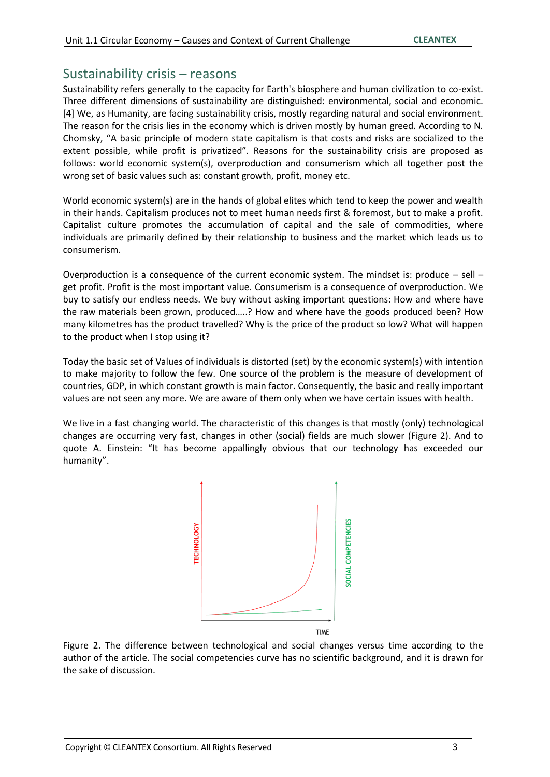#### Sustainability crisis – reasons

Sustainability refers generally to the capacity for Earth's biosphere and human civilization to co-exist. Three different dimensions of sustainability are distinguished: environmental, social and economic. [4] We, as Humanity, are facing sustainability crisis, mostly regarding natural and social environment. The reason for the crisis lies in the economy which is driven mostly by human greed. According to N. Chomsky, "A basic principle of modern state capitalism is that costs and risks are socialized to the extent possible, while profit is privatized". Reasons for the sustainability crisis are proposed as follows: world economic system(s), overproduction and consumerism which all together post the wrong set of basic values such as: constant growth, profit, money etc.

World economic system(s) are in the hands of global elites which tend to keep the power and wealth in their hands. Capitalism produces not to meet human needs first & foremost, but to make a profit. Capitalist culture promotes the accumulation of capital and the sale of commodities, where individuals are primarily defined by their relationship to business and the market which leads us to consumerism.

Overproduction is a consequence of the current economic system. The mindset is: produce – sell – get profit. Profit is the most important value. Consumerism is a consequence of overproduction. We buy to satisfy our endless needs. We buy without asking important questions: How and where have the raw materials been grown, produced…..? How and where have the goods produced been? How many kilometres has the product travelled? Why is the price of the product so low? What will happen to the product when I stop using it?

Today the basic set of Values of individuals is distorted (set) by the economic system(s) with intention to make majority to follow the few. One source of the problem is the measure of development of countries, GDP, in which constant growth is main factor. Consequently, the basic and really important values are not seen any more. We are aware of them only when we have certain issues with health.

We live in a fast changing world. The characteristic of this changes is that mostly (only) technological changes are occurring very fast, changes in other (social) fields are much slower (Figure 2). And to quote A. Einstein: "It has become appallingly obvious that our technology has exceeded our humanity".



Figure 2. The difference between technological and social changes versus time according to the author of the article. The social competencies curve has no scientific background, and it is drawn for the sake of discussion.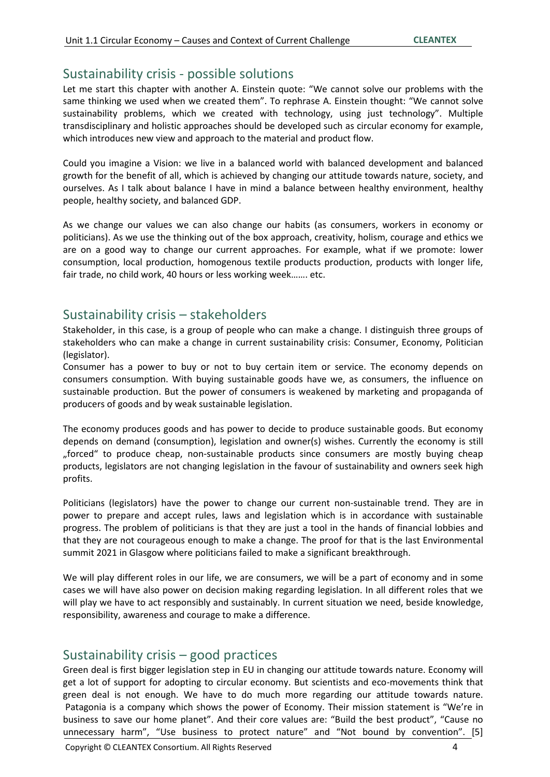## Sustainability crisis - possible solutions

Let me start this chapter with another A. Einstein quote: "We cannot solve our problems with the same thinking we used when we created them". To rephrase A. Einstein thought: "We cannot solve sustainability problems, which we created with technology, using just technology". Multiple transdisciplinary and holistic approaches should be developed such as circular economy for example, which introduces new view and approach to the material and product flow.

Could you imagine a Vision: we live in a balanced world with balanced development and balanced growth for the benefit of all, which is achieved by changing our attitude towards nature, society, and ourselves. As I talk about balance I have in mind a balance between healthy environment, healthy people, healthy society, and balanced GDP.

As we change our values we can also change our habits (as consumers, workers in economy or politicians). As we use the thinking out of the box approach, creativity, holism, courage and ethics we are on a good way to change our current approaches. For example, what if we promote: lower consumption, local production, homogenous textile products production, products with longer life, fair trade, no child work, 40 hours or less working week……. etc.

### Sustainability crisis – stakeholders

Stakeholder, in this case, is a group of people who can make a change. I distinguish three groups of stakeholders who can make a change in current sustainability crisis: Consumer, Economy, Politician (legislator).

Consumer has a power to buy or not to buy certain item or service. The economy depends on consumers consumption. With buying sustainable goods have we, as consumers, the influence on sustainable production. But the power of consumers is weakened by marketing and propaganda of producers of goods and by weak sustainable legislation.

The economy produces goods and has power to decide to produce sustainable goods. But economy depends on demand (consumption), legislation and owner(s) wishes. Currently the economy is still "forced" to produce cheap, non-sustainable products since consumers are mostly buying cheap products, legislators are not changing legislation in the favour of sustainability and owners seek high profits.

Politicians (legislators) have the power to change our current non-sustainable trend. They are in power to prepare and accept rules, laws and legislation which is in accordance with sustainable progress. The problem of politicians is that they are just a tool in the hands of financial lobbies and that they are not courageous enough to make a change. The proof for that is the last Environmental summit 2021 in Glasgow where politicians failed to make a significant breakthrough.

We will play different roles in our life, we are consumers, we will be a part of economy and in some cases we will have also power on decision making regarding legislation. In all different roles that we will play we have to act responsibly and sustainably. In current situation we need, beside knowledge, responsibility, awareness and courage to make a difference.

### Sustainability crisis – good practices

Green deal is first bigger legislation step in EU in changing our attitude towards nature. Economy will get a lot of support for adopting to circular economy. But scientists and eco-movements think that green deal is not enough. We have to do much more regarding our attitude towards nature. Patagonia is a company which shows the power of Economy. Their mission statement is "We're in business to save our home planet". And their core values are: "Build the best product", "Cause no unnecessary harm", "Use business to protect nature" and "Not bound by convention". [5]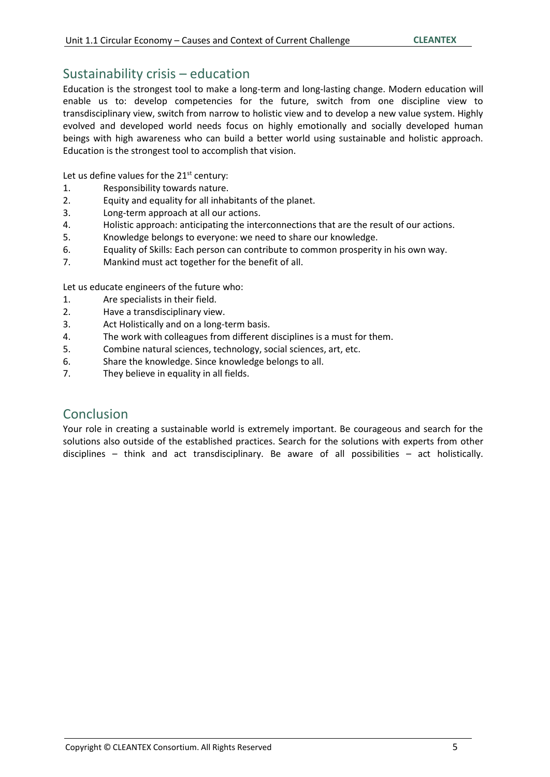#### Sustainability crisis – education

Education is the strongest tool to make a long-term and long-lasting change. Modern education will enable us to: develop competencies for the future, switch from one discipline view to transdisciplinary view, switch from narrow to holistic view and to develop a new value system. Highly evolved and developed world needs focus on highly emotionally and socially developed human beings with high awareness who can build a better world using sustainable and holistic approach. Education is the strongest tool to accomplish that vision.

Let us define values for the  $21^{st}$  century:

- 1. Responsibility towards nature.
- 2. Equity and equality for all inhabitants of the planet.
- 3. Long-term approach at all our actions.
- 4. Holistic approach: anticipating the interconnections that are the result of our actions.
- 5. Knowledge belongs to everyone: we need to share our knowledge.
- 6. Equality of Skills: Each person can contribute to common prosperity in his own way.
- 7. Mankind must act together for the benefit of all.

Let us educate engineers of the future who:

- 1. Are specialists in their field.
- 2. Have a transdisciplinary view.
- 3. Act Holistically and on a long-term basis.
- 4. The work with colleagues from different disciplines is a must for them.
- 5. Combine natural sciences, technology, social sciences, art, etc.
- 6. Share the knowledge. Since knowledge belongs to all.
- 7. They believe in equality in all fields.

### Conclusion

Your role in creating a sustainable world is extremely important. Be courageous and search for the solutions also outside of the established practices. Search for the solutions with experts from other disciplines – think and act transdisciplinary. Be aware of all possibilities – act holistically.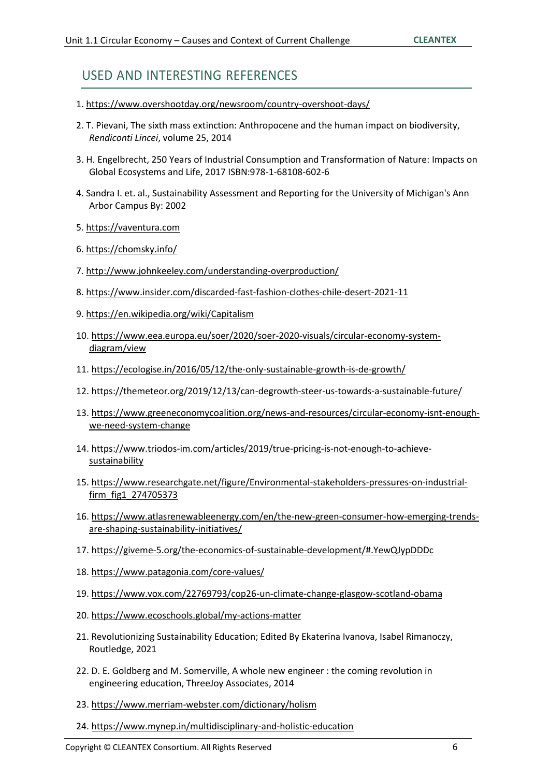## USED AND INTERESTING REFERENCES

- 1. <https://www.overshootday.org/newsroom/country-overshoot-days/>
- 2. T. Pievani, The sixth mass extinction: Anthropocene and the human impact on biodiversity, *Rendiconti Lincei*, volume 25, 2014
- 3. H. Engelbrecht, 250 Years of Industrial Consumption and Transformation of Nature: Impacts on Global Ecosystems and Life, 2017 ISBN:978-1-68108-602-6
- 4. Sandra I. et. al., Sustainability Assessment and Reporting for the University of Michigan's Ann Arbor Campus By: 2002
- 5. [https://vaventura.com](https://vaventura.com/)
- 6. <https://chomsky.info/>
- 7. <http://www.johnkeeley.com/understanding-overproduction/>
- 8. <https://www.insider.com/discarded-fast-fashion-clothes-chile-desert-2021-11>
- 9. <https://en.wikipedia.org/wiki/Capitalism>
- 10. [https://www.eea.europa.eu/soer/2020/soer-2020-visuals/circular-economy-system](https://www.eea.europa.eu/soer/2020/soer-2020-visuals/circular-economy-system-diagram/view)[diagram/view](https://www.eea.europa.eu/soer/2020/soer-2020-visuals/circular-economy-system-diagram/view)
- 11. <https://ecologise.in/2016/05/12/the-only-sustainable-growth-is-de-growth/>
- 12. <https://themeteor.org/2019/12/13/can-degrowth-steer-us-towards-a-sustainable-future/>
- 13. [https://www.greeneconomycoalition.org/news-and-resources/circular-economy-isnt-enough](https://www.greeneconomycoalition.org/news-and-resources/circular-economy-isnt-enough-we-need-system-change)[we-need-system-change](https://www.greeneconomycoalition.org/news-and-resources/circular-economy-isnt-enough-we-need-system-change)
- 14. [https://www.triodos-im.com/articles/2019/true-pricing-is-not-enough-to-achieve](https://www.triodos-im.com/articles/2019/true-pricing-is-not-enough-to-achieve-sustainability)[sustainability](https://www.triodos-im.com/articles/2019/true-pricing-is-not-enough-to-achieve-sustainability)
- 15. [https://www.researchgate.net/figure/Environmental-stakeholders-pressures-on-industrial](https://www.researchgate.net/figure/Environmental-stakeholders-pressures-on-industrial-firm_fig1_274705373)[firm\\_fig1\\_274705373](https://www.researchgate.net/figure/Environmental-stakeholders-pressures-on-industrial-firm_fig1_274705373)
- 16. [https://www.atlasrenewableenergy.com/en/the-new-green-consumer-how-emerging-trends](https://www.atlasrenewableenergy.com/en/the-new-green-consumer-how-emerging-trends-are-shaping-sustainability-initiatives/)[are-shaping-sustainability-initiatives/](https://www.atlasrenewableenergy.com/en/the-new-green-consumer-how-emerging-trends-are-shaping-sustainability-initiatives/)
- 17. [https://giveme-5.org/the-economics-of-sustainable-development/#.YewQJypDDDc](https://giveme-5.org/the-economics-of-sustainable-development/)
- 18.<https://www.patagonia.com/core-values/>
- 19.<https://www.vox.com/22769793/cop26-un-climate-change-glasgow-scotland-obama>
- 20.<https://www.ecoschools.global/my-actions-matter>
- 21. Revolutionizing Sustainability Education; Edited By Ekaterina Ivanova, Isabel Rimanoczy, Routledge, 2021
- 22. D. E. Goldberg and M. Somerville, A whole new engineer : the coming revolution in engineering education, ThreeJoy Associates, 2014
- 23.<https://www.merriam-webster.com/dictionary/holism>
- 24.<https://www.mynep.in/multidisciplinary-and-holistic-education>